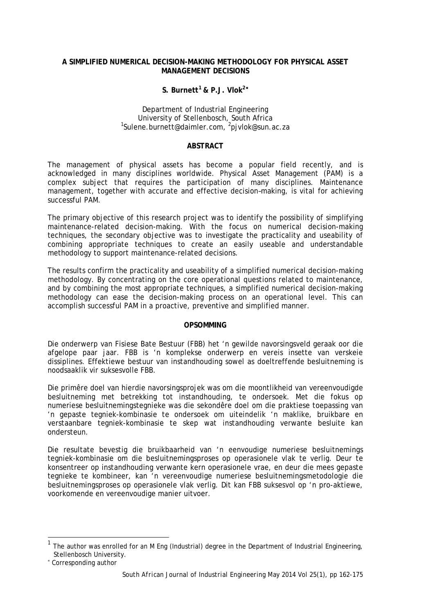### **A SIMPLIFIED NUMERICAL DECISION-MAKING METHODOLOGY FOR PHYSICAL ASSET MANAGEMENT DECISIONS**

# **S. Burnett[1](#page-0-0) & P.J. Vlok2**[∗](#page-0-1)

# Department of Industrial Engineering<br>University of Stellenbosch, South Africa University of Stellenbosch, South Africa <sup>1</sup> Sulene.burnett@daimler.com, <sup>2</sup> pjvlok@sun.ac.za

#### **ABSTRACT**

The management of physical assets has become a popular field recently, and is acknowledged in many disciplines worldwide. Physical Asset Management (PAM) is a complex subject that requires the participation of many disciplines. Maintenance management, together with accurate and effective decision–making, is vital for achieving successful PAM.

The primary objective of this research project was to identify the possibility of simplifying maintenance-related decision-making. With the focus on numerical decision-making techniques, the secondary objective was to investigate the practicality and useability of combining appropriate techniques to create an easily useable and understandable methodology to support maintenance-related decisions.

The results confirm the practicality and useability of a simplified numerical decision-making methodology. By concentrating on the core operational questions related to maintenance, and by combining the most appropriate techniques, a simplified numerical decision-making methodology can ease the decision-making process on an operational level. This can accomplish successful PAM in a proactive, preventive and simplified manner.

# **OPSOMMING**

Die onderwerp van Fisiese Bate Bestuur (FBB) het 'n gewilde navorsingsveld geraak oor die afgelope paar jaar. FBB is 'n komplekse onderwerp en vereis insette van verskeie dissiplines. Effektiewe bestuur van instandhouding sowel as doeltreffende besluitneming is noodsaaklik vir suksesvolle FBB.

Die primêre doel van hierdie navorsingsprojek was om die moontlikheid van vereenvoudigde besluitneming met betrekking tot instandhouding, te ondersoek. Met die fokus op numeriese besluitnemingstegnieke was die sekondêre doel om die praktiese toepassing van 'n gepaste tegniek-kombinasie te ondersoek om uiteindelik 'n maklike, bruikbare en verstaanbare tegniek-kombinasie te skep wat instandhouding verwante besluite kan ondersteun.

Die resultate bevestig die bruikbaarheid van 'n eenvoudige numeriese besluitnemings tegniek-kombinasie om die besluitnemingsproses op operasionele vlak te verlig. Deur te konsentreer op instandhouding verwante kern operasionele vrae, en deur die mees gepaste tegnieke te kombineer, kan 'n vereenvoudige numeriese besluitnemingsmetodologie die besluitnemingsproses op operasionele vlak verlig. Dit kan FBB suksesvol op 'n pro-aktiewe, voorkomende en vereenvoudige manier uitvoer.

l

<span id="page-0-0"></span>The author was enrolled for an M Eng (Industrial) degree in the Department of Industrial Engineering, Stellenbosch University.

<span id="page-0-1"></span><sup>∗</sup> Corresponding author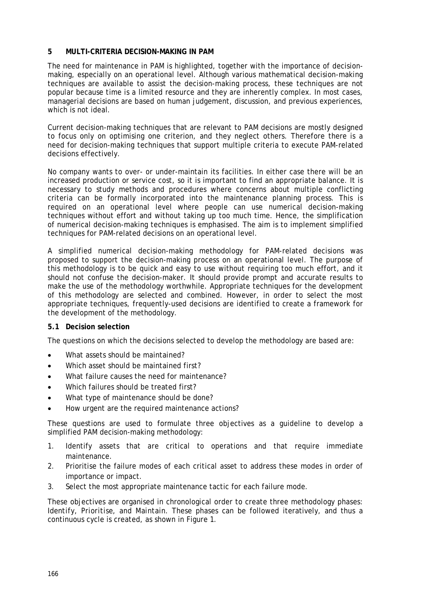### **5 MULTI-CRITERIA DECISION-MAKING IN PAM**

The need for maintenance in PAM is highlighted, together with the importance of decisionmaking, especially on an operational level. Although various mathematical decision-making techniques are available to assist the decision-making process, these techniques are not popular because time is a limited resource and they are inherently complex. In most cases, managerial decisions are based on human judgement, discussion, and previous experiences, which is not ideal.

Current decision-making techniques that are relevant to PAM decisions are mostly designed to focus only on optimising one criterion, and they neglect others. Therefore there is a need for decision-making techniques that support multiple criteria to execute PAM-related decisions effectively.

No company wants to over- or under-maintain its facilities. In either case there will be an increased production or service cost, so it is important to find an appropriate balance. It is necessary to study methods and procedures where concerns about multiple conflicting criteria can be formally incorporated into the maintenance planning process. This is required on an operational level where people can use numerical decision-making techniques without effort and without taking up too much time. Hence, the simplification of numerical decision-making techniques is emphasised. The aim is to implement simplified techniques for PAM-related decisions on an operational level.

A simplified numerical decision-making methodology for PAM-related decisions was proposed to support the decision-making process on an operational level. The purpose of this methodology is to be quick and easy to use without requiring too much effort, and it should not confuse the decision-maker. It should provide prompt and accurate results to make the use of the methodology worthwhile. Appropriate techniques for the development of this methodology are selected and combined. However, in order to select the most appropriate techniques, frequently-used decisions are identified to create a framework for the development of the methodology.

#### **5.1 Decision selection**

The questions on which the decisions selected to develop the methodology are based are:

- What assets should be maintained?
- Which asset should be maintained first?
- What failure causes the need for maintenance?
- Which failures should be treated first?
- What type of maintenance should be done?
- How urgent are the required maintenance actions?

These questions are used to formulate three objectives as a guideline to develop a simplified PAM decision-making methodology:

- 1. Identify assets that are critical to operations and that require immediate maintenance.
- 2. Prioritise the failure modes of each critical asset to address these modes in order of importance or impact.
- 3. Select the most appropriate maintenance tactic for each failure mode.

These objectives are organised in chronological order to create three methodology phases: *Identify, Prioritise,* and *Maintain*. These phases can be followed iteratively, and thus a continuous cycle is created, as shown in [Figure 1.](#page-5-0)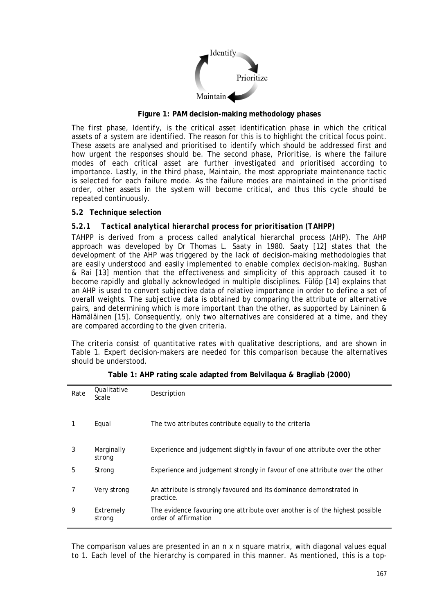

**Figure 1: PAM decision-making methodology phases**

<span id="page-5-0"></span>The first phase, *Identify*, is the critical asset identification phase in which the critical assets of a system are identified. The reason for this is to highlight the critical focus point. These assets are analysed and prioritised to identify which should be addressed first and how urgent the responses should be. The second phase, *Prioritise*, is where the failure modes of each critical asset are further investigated and prioritised according to importance. Lastly, in the third phase, *Maintain*, the most appropriate maintenance tactic is selected for each failure mode. As the failure modes are maintained in the prioritised order, other assets in the system will become critical, and thus this cycle should be repeated continuously.

# **5.2 Technique selection**

# *5.2.1 Tactical analytical hierarchal process for prioritisation (TAHPP)*

TAHPP is derived from a process called analytical hierarchal process (AHP). The AHP approach was developed by Dr Thomas L. Saaty in 1980. Saaty [12] states that the development of the AHP was triggered by the lack of decision-making methodologies that are easily understood and easily implemented to enable complex decision-making. Bushan & Rai [13] mention that the effectiveness and simplicity of this approach caused it to become rapidly and globally acknowledged in multiple disciplines. Fülöp [14] explains that an AHP is used to convert subjective data of relative importance in order to define a set of overall weights. The subjective data is obtained by comparing the attribute or alternative pairs, and determining which is more important than the other, as supported by Laininen & Hämäläinen [15]. Consequently, only two alternatives are considered at a time, and they are compared according to the given criteria.

The criteria consist of quantitative rates with qualitative descriptions, and are shown in [Table 1.](#page-5-1) Expert decision-makers are needed for this comparison because the alternatives should be understood.

<span id="page-5-1"></span>

| Rate | Qualitative<br>Scale | Description                                                                                          |
|------|----------------------|------------------------------------------------------------------------------------------------------|
|      | Equal                | The two attributes contribute equally to the criteria                                                |
| 3    | Marginally<br>strong | Experience and judgement slightly in favour of one attribute over the other                          |
| 5    | Strong               | Experience and judgement strongly in favour of one attribute over the other                          |
|      | Very strong          | An attribute is strongly favoured and its dominance demonstrated in<br>practice.                     |
| 9    | Extremely<br>strong  | The evidence favouring one attribute over another is of the highest possible<br>order of affirmation |

|  |  | Table 1: AHP rating scale adapted from Belvilaqua & Bragliab (2000) |  |  |  |
|--|--|---------------------------------------------------------------------|--|--|--|
|--|--|---------------------------------------------------------------------|--|--|--|

The comparison values are presented in an *n* x *n* square matrix, with diagonal values equal to 1. Each level of the hierarchy is compared in this manner. As mentioned, this is a top-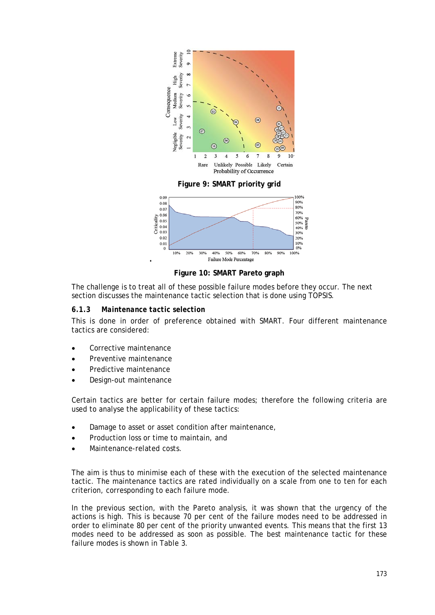

Figure 1: PAM decision-making methodology phases

The first phase, *Identify* is the critical asset identification phase in which the critical assets of a system are identified. The reason for this is to highlight the critical focus point. These assets are analysed and prioritised to identify which should be addressed first and how urgent the responses should be. The second phase, Prioritige, is where the failure modes of each critical asset are further investigated and prioritised according to importance. Lastly, in the third phase, Maintain the most appropriate maintenance tactic is selected for each failure mode. As the failure modes are maintained in the prioritised order, other assets in the system will become critical, and thus this cycle should be repeated continuously.

#### 5.2 Technique selection

#### $5.2.1$ **Tactical analytical** hierarchal process for prioritisation (TAHPP)

TAHPP is derived from a process called analytical hierarchal process (AHP). The AHP approach was developed by Dr Thomas L. Saaty in 1980. Saaty [12] states that the development of the AHP was triggered by the lack of decision-making methodologies that are easily understood and easily implemented to enable complex decision-making. Bushan & Rai [13] mention that the effectiveness and simplicity of this approach caused it to become rapidly and globally acknowledged in multiple disciplines. Fülöp [14] explains that an AHP is used to convert subjective data of relative importance in order to define a set of overall weights. The subjective data is obtained by comparing the attribute or alternative pairs, and determining which is more important than the other, as supported by Laininen & Hämäläinen [15]. Consequently, only two alternatives are considered at a time, and they are compared according to the given criteria.

The criteria consist of quantitative rates with qualitative descriptions, and are shown in Table 1. Expert decision-makers are needed for this comparison because the alternatives should be understood.

| Rate | Qualitative<br>Scale | Description                                                                                          |
|------|----------------------|------------------------------------------------------------------------------------------------------|
|      | Equal                | The two attributes contribute equally to the criteria                                                |
| 3    | Marginally<br>strong | Experience and judgement slightly in favour of one attribute over the other                          |
| 5    | Strong               | Experience and judgement strongly in favour of one attribute over the other                          |
|      | Very strong          | An attribute is strongly favoured and its dominance demonstrated in<br>practice.                     |
| 9    | Extremely<br>strong  | The evidence favouring one attribute over another is of the highest possible<br>order of affirmation |

The comparison values are presented in an  $n \times n$  square matrix, with diagonal values equal to 1. Each level of the hierarchy is compared in this manner. As mentioned, this is a top-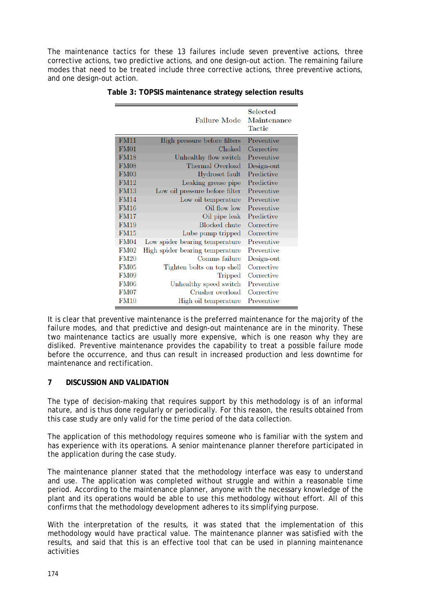#### A SIMPLIFIED NUMERIC AL DECISION-MAKING METHODOLOGY FOR PHYSICAL ASSET MANAGEMENT DECISIONS

# S. Burnett<sup>1</sup> & P. J. Vlok<sup>2</sup>

#### Department ofIndustrial Engineering University of Stellenbosch, South Africa <sup>1</sup>Sulene.burnett@daimler.com<sup>2</sup>pjvlok@sun.ac.za

#### ABSTRACT

The management of physical assets has become a popular field recelyt and is acknowledged in many disciplines worldwide. Physical Asset Management (PAM) is a complex subject that requires the participation of many disciplines. Maintenance management, together with accurate and effective decision aking, is vital for achieving successful PAM

The primary objective of this research project was to identify the possibility of simplifying maintenancerelated decisionmaking. With the focus on numerical decisiomaking techniques, the secondary objective was to investigate the practicality and ability of combining appropriate techniques to create an edy useable and understandable methodology to support maintenancerelated decisions.

The results confirm the practicality and ustility of a simplified numerical decision-making methodology. By concentrating on the core operational questions related to maintenance, and by combining the most appropriate techniques, a simplified numerical decisionaking methodology can ease the decision-making process on an operational level. This can accomplish successful PAMn a proactive, preventive and simplified manner.

#### **OPSOMMING**

Die onderwerp van Fisiese Bate Bestuur (FBB) hen gewilde navorsingseld geraak oor die afgelope paar jaar. FBB is 'n komplekse onderwerp en vereis insette van verskeie dissiplines. Effektiewe bestuur van instandhouding sowel as doeltreffende besluitneming is noodsaaklik vir suksesvolle FBB.

Die primêre doel van hierdie navorsingsprojek was om dieoontlikheid van vereenvoudigde besluitneming met betrekking tot instandhouding te ondersoek. Met die faus op numeriese besluitnemingstegnieke was die sekondêre doel om die praktiese toepassing van 'n gepaste tegniekkombinasie te ondersoek om uiteindelikn maklike, bruikbare en verstaanbare tegniekkombinasie te skep wat instandhoudingverwante besluite kan ondersteun.

Die resultate bevestig die bruikbaarheid vann' eenvoudige numeriese besluitnemigs tegniek-kombinasie om die besluitnemingsproses op operasionele vlak teerlig. Deur te konsentreer op instandhouding verwante kern operasionele vrae, en deur die mees gepaste tegnieke te kombineer, kan n vereenvoudige numeriese besluitnemingsmetodoling die besluitnemingsproses op operasionele vlak verlig. Dit kan FBB suksesvol oppro-aktiewe, voorkomende en vereenvoudige manier uitvoer.

The author was enrolled for an M Eng (Industrial) degree in the Department of Industrial Engineering, Stellenbosch University. Corresponding author